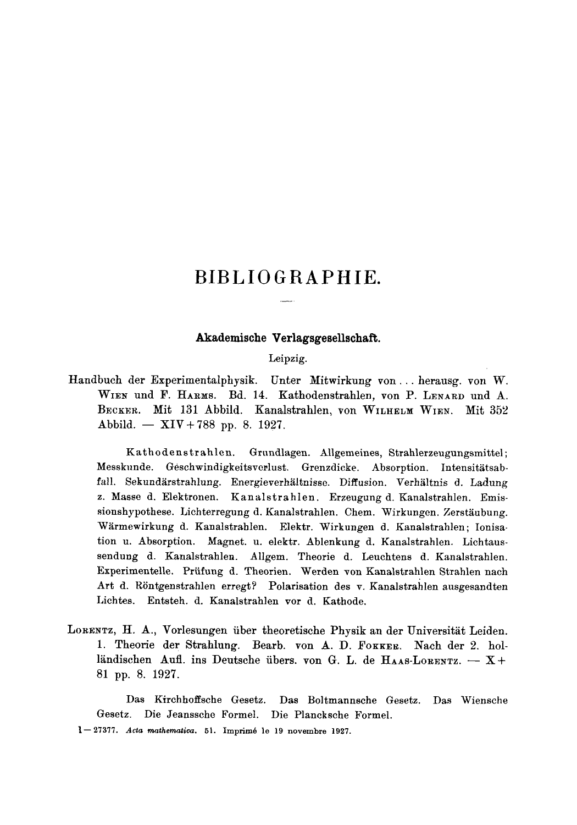# **BIBLIOGRAPHIE.**

# **Akademische Verlagsgesellschaft.**

#### Leipzig.

Handbuch der Experimentalphysik. Unter Mitwirkung yon.., herausg, yon W. WIEN und F. HARMS. Bd. 14. Kathodenstrahlen, von P. LENARD und A. BECKER. Mit 131 Abbild. Kanalstrahlen, von WILHELM WIEN. Mit 352 Abbild. --  $XIV+788$  pp. 8. 1927.

Kathodenstrahlen. Grundlagen. Allgemeines, Strahlerzeugungsmittel; Messkunde. Geschwindigkeitsverlust. Grenzdicke. Absorption. Intensitätsabfall. Sekundärstrahlung. Energieverhältnisse. Diffusion. Verhältnis d. Ladung z. Masse d. Elektronen. Kanalstrahlen. Erzeugung d. Kanalstrahlen. Emissionshypothese. Lichterregung d. Kanalstrahlen. Chem. Wirkungen. Zerstäubung. Wärmewirkung d. Kanalstrahlen. Elektr. Wirkungen d. Kanalstrahlen; Ionisation u. Absorption. Magnet. u. elektr. Ablenkung d. Kanalstrahlen. Lichtaussendung d. Kanalstrahlen. Allgem. Theorie d. Leuchtens d. Kanalstrahlen. Experimentelle. Priifung d. Theorien. Werden ~on Kanalstrahlen Strahlen naeh Art d. Röntgenstrahlen erregt? Polarisation des v. Kanalstrahlen ausgesandten Lichtes. Entsteh. d. Kanalstrahlen vor d. Kathode.

LORENTZ, H. A., Vorlesungen über theoretische Physik an der Universität Leiden. 1. Theorie der Strahlung. Bearb. von A. D. FOKKER. Nach der 2. holländischen Aufl. ins Deutsche übers, von G. L. de HAAS-LORENTZ.  $- X +$ 81 pp. 8. 1927.

Das Kirchhoffsehe Gesetz. Das Boltmannsche Gesetz. Das Wiensche Gesetz. Die Jeanssche Formel. Die Plancksche Formel.

<sup>1--27377.</sup> *Acta mathematica.* 51. Imprim6 le 19 novembre 1927.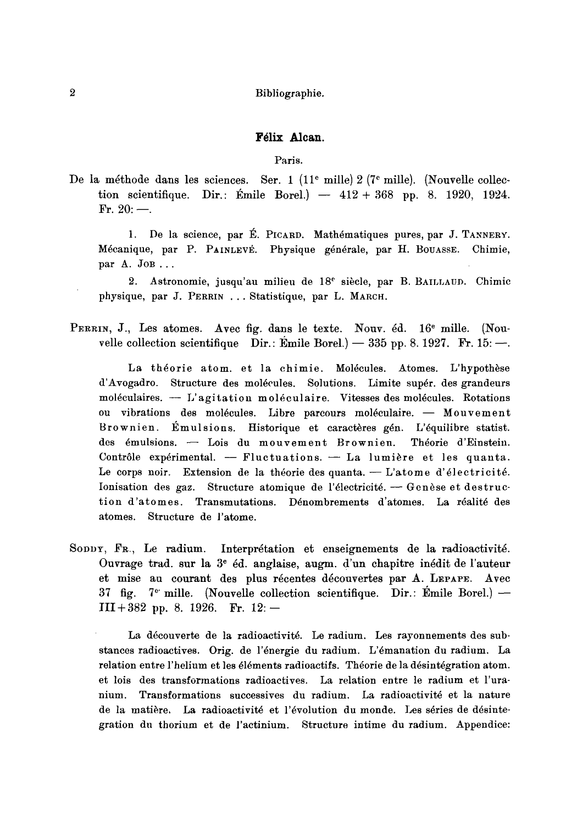# Félix Alcan.

Paris.

De la méthode dans les sciences. Ser. 1 (11<sup>e</sup> mille) 2 (7<sup>e</sup> mille). (Nouvelle collection scientifique. Dir.: Émile Borel.) —  $412 + 368$  pp. 8. 1920, 1924. Fr.  $20:$ —.

1. De la science, par É. PICARD. Mathématiques pures, par J. TANNERY. Mécanique, par P. PAINLEVE. Physique générale, par H. BOUASSE. Chimie, par A. JOB...

2. Astronomie, jusqu'au milieu de  $18<sup>e</sup>$  siècle, par B. BAILLAUD. Chimic physique, par J. PERRIN ... Statistique, par L. MARCH.

PERRIN, J., Les atomes. Avec fig. dans le texte. Nouv. éd. 16<sup>e</sup> mille. (Nouvelle collection scientifique Dir.:  $\text{Emile Borel.}$ ) -- 335 pp. 8. 1927. Fr. 15:-

La théorie atom. et la chimie. Molécules. Atomes. L'hypothèse d'Avogadro. Structure des molécules. Solutions. Limite supér. des grandeurs moléculaires.  $-$  L'agitation moléculaire. Vitesses des molécules. Rotations ou vibrations des molécules. Libre parcours moléculaire. - Mouvement Brownien. Émulsions. Historique et caractères gén. L'équilibre statist. des émulsions. - Lois du mouvement Brownien. Théorie d'Einstein. Contrôle expérimental. -- Fluctuations. -- La lumière et les quanta. Le corps noir. Extension de la théorie des quanta. - L'atome d'électricité. Ionisation des gaz. Structure atomique de l'électricité. - Genèse et destruction d'atomes. Transmutations. Dénombrements d'atomes. La réalité des atomes. Structure de l'atome.

SODDY, FR., Le radium. Interprétation et enseignements de la radioactivité. Ouvrage trad. sur la  $3^e$  éd. anglaise, augm. d'un chapitre inédit de l'auteur et mise au courant des plus récentes découvertes par A. LEPAPE. Avec  $37$  fig.  $7^{\circ}$  mille. (Nouvelle collection scientifique. Dir.: Emile Borel.) -- $III+382$  pp. 8. 1926. Fr. 12:-

La découverte de la radioactivité. Le radium. Les rayonnements des substances radioactives. Orig. de l'énergie du radium. L'émanation du radium. La relation entre l'helium et les éléments radioactifs. Théorie de la désintégration atom. et lois des transformations radioactives. La relation entre le radium et l'uranium. Transformations successives du radium. La radioactivité et la nature de la matière. La radioactivité et l'évolution du monde. Les séries de désintegration du thorium et de l'actinium. Structure intime du radium. Appendice: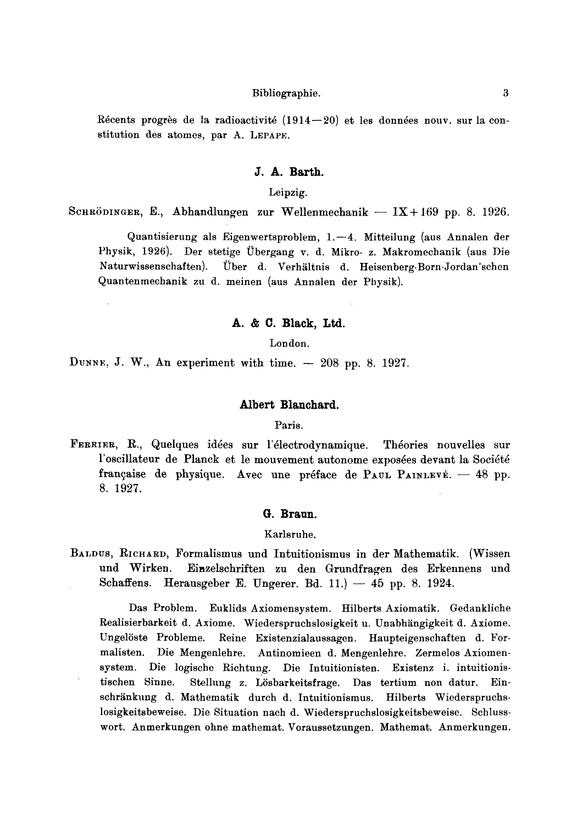Récents progrès de la radioactivité  $(1914-20)$  et les données nouv. sur la constitution des atomes, par A. LEPAPE.

# **J. A. Barth.**

Leipzig.

SCHRÖDINGER, E., Abhandlungen zur Wellenmechanik -- IX+169 pp. 8. 1926.

Quantisierung als Eigenwertsproblem,  $1.-4$ . Mitteilung (aus Annalen der Physik, 1926). Der stetige Übergang v. d. Mikro- z. Makromechanik (aus Die Naturwissenschaften). Über d. Verhältnis d. Heisenberg-Born-Jordan'schen Quantenmeehanik zu d. meinen (aus Annalen der Physik).

# **A. & C. Black, Ltd.**

London.

DUNNE, J. W., An experiment with time.  $-208$  pp. 8. 1927.

# **Albert Blanchard.**

Paris.

FERRIER, R., Quelques id6es sur l'61ectrodynamique. Th6ories nouvelles sur l'oscillateur de Planck et le mouvement autonome exposées devant la Société française de physique. Avec une préface de PAUL PAINLEVÉ.  $-$  48 pp. 8. 1927.

#### **G. Braun.**

Karlsruhe.

BALDUS, RICHARD, Formalismus und Intuitionismus in der Mathematik. (Wissen und Wirken. Einzelschriften zu den Grundfragen des Erkennens und Schaffens. Herausgeber E. Ungerer. Bd. 11.)  $-45$  pp. 8. 1924.

Das Problem. Euklids Axiomensystem. Hilberts Axiomatik. Gedankliche Realisierbarkeit d. Axiome. Wiederspruchslosigkeit u. Unabhängigkeit d. Axiome. Ungelöste Probleme. Reine Existenzialaussagen. Haupteigenschaften d. Formalisten. Die Mengenlehre. Antinomieen d. Mengenlehre. Zermelos Axiomensystem. Die logisehe Richtung. Die Intuitionisten. Existenz i. intuitionistischen Sinne. Stellung z. Lösbarkeitsfrage. Das tertium non datur. Einschränkung d. Mathematik durch d. Intuitionismus. Hilberts Wiederspruchslosigkeitsbeweise. Die Situation nach d. Wiederspruchslosigkeitsbeweise. Schlusswort. Anmerkungen ohne mathemat. Voraussetzungen. Mathemat. Anmerkungen.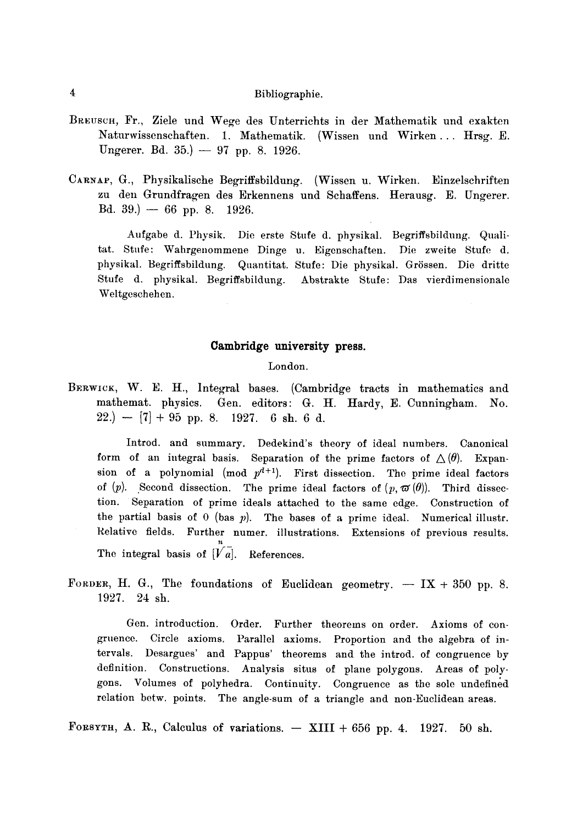- BREUSCH, Fr., Ziele und Wege des Unterrichts in der Mathematik und exakten Naturwissenschaften. 1. Mathematik. (Wissen und Wirken... Hrsg. E. Ungerer. Bd. 35.)  $-97$  pp. 8. 1926.
- CARNAP, G., Physikalische Begriffsbildung. (Wissen u. Wirken. Einzelschriften zu den Grundfragen des Erkennens und Schaffens. Herausg. E. Ungerer.  $Bd. 39.$   $- 66$  pp. 8. 1926.

Aufgabe d. Physik. Die erste Stufe d. physikal. Begriffsbildung. Qualitat. Stufe: Wahrgenommene Dinge u. Eigenschaften. Die zweite Stufe d. physikal. Begriffsbildung. Quantitat. Stufe: Die physikal. Grössen. Die dritte Stufe d. physikal. Begriffsbildung. Abstrakte Stufe: Das vierdimensionale Weltgeschehen.

# **Cambridge university press.**

# London.

BERWICK, W. E. H., Integral bases. (Cambridge tracts in mathematics and mathemat, physics. Gen. editors: G. H. Hardy, E. Cunningham. No.  $22.$ ) -- [7] + 95 pp. 8. 1927. 6 sh. 6 d.

Introd. and summary. Dedekind's theory of ideal numbers. Canonical form of an integral basis. Separation of the prime factors of  $\Delta(\theta)$ . Expansion of a polynomial (mod  $p^{d+1}$ ). First dissection. The prime ideal factors of  $(p)$ . Second dissection. The prime ideal factors of  $(p, \varpi(\theta))$ . Third dissection. Separation of prime ideals attached to the same edge. Construction of the partial basis of 0 (bas  $p$ ). The bases of a prime ideal. Numerical illustr. Relative fields. Further numer, illustrations. Extensions of previous results. The integral basis of  $\overline{[V]a}$ . References.

FORDER, H. G., The foundations of Euclidean geometry.  $- I X + 350$  pp. 8. 1927. 24 sh.

Gen. introduction. Order. Further theorems on order. Axioms of congruence. Circle axioms. Parallel axioms. Proportion and the algebra of intervals. Desargues' and Pappus' theorems and the introd, of congruence by definition. Constructions. Analysis situs of plane polygons. Areas of polygons. Volumes of polyhedra. Continuity. Congruence as the sole undefined relation betw. points. The angle-sum of a triangle and non-Euclidean areas.

FORSYTH, A. R., Calculus of variations.  $-$  XIII + 656 pp. 4. 1927. 50 sh.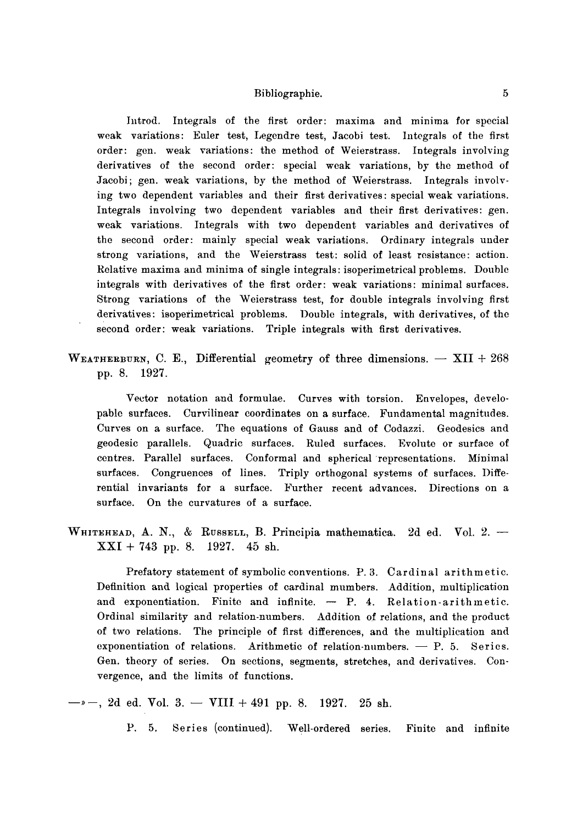Introd. Integrals of the first order: maxima and minima for special weak variations: Euler test, Legendre test, Jacobi test. Integrals of the first order: gen. weak variations: the method of Weierstrass. Integrals involving derivatives of the second order: special weak variations, by the method of Jacobi; gen. weak variations, by the method of Weierstrass. Integrals involving two dependent variables and their first derivatives: special weak variations. Integrals involving two dependent variables and their first derivatives: gen. weak variations. Integrals with two dependent variables and derivatives of the second order: mainly special weak variations. Ordinary integrals under strong variations, and the Weierstrass test: solid of least resistance: action. Relative maxima and minima of single integrals: isoperimetrical problems. Double integrals with derivatives of the first order: weak variations: minimal surfaces. Strong variations of the Weierstrass test, for double integrals involving first derivatives: isoperimetrical problems. Double integrals, with derivatives, of the second order: weak variations. Triple integrals with first derivatives.

WEATHERBURN, C. E., Differential geometry of three dimensions.  $-$  XII + 268 pp. 8. 1927.

Vector notation and formulae. Curves with torsion. Envelopes, developable surfaces. Curvilinear coordinates on a surface. Fundamental magnitudes. Curves on a surface. The equations of Gauss and of Codazzi. Geodesics and geodesic parallels. Quadric surfaces. Ruled surfaces. Evolute or surface of centres. Parallel surfaces. Conformal and spherical representations. Minimal surfaces. Congruences of lines. Triply orthogonal systems of surfaces. Differential invariants for a surface. Further recent advances. Directions on a surface. On the curvatures of a surface.

WHITEHEAD, A. N., & RUSSELL, B. Principia mathematica. 2d ed. Vol. 2. --XXI + 743 pp. 8. 1927. 45 sh.

Prefatory statement of symbolic conventions. P. 3. Cardinal arithmetic. Definition and logical properties of cardinal mumbers. Addition, multiplication and exponentiation. Finite and infinite.  $-$  P. 4. Relation-arithmetic. Ordinal similarity and relation-numbers. Addition of relations, and the product of two relations. The principle of first differences, and the multiplication and exponentiation of relations. Arithmetic of relation-numbers.  $-$  P. 5. Series. Gen. theory of series. On sections, segments, stretches, and derivatives. Convergence, and the limits of functions.

 $-$ , 2d ed. Vol. 3.  $-$  VIII  $+$  491 pp. 8. 1927. 25 sh.

P. 5. Series (continued). Well-ordered series. Finite and infinite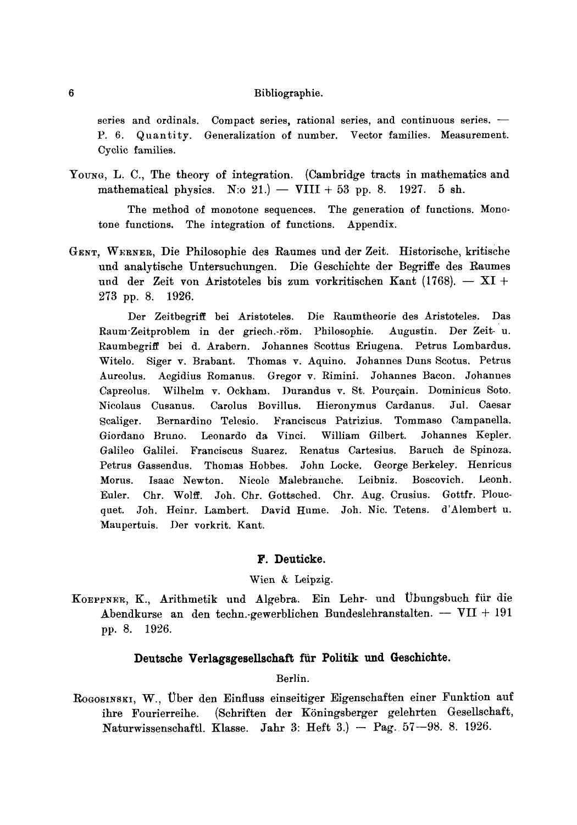series and ordinals. Compact series, rational series, and continuous series. -Quantity. Generalization of number. Vector families. Measurement.  $P. 6.$ Cyclic families.

Young, L. C., The theory of integration. (Cambridge tracts in mathematics and mathematical physics. N:o 21.) - VIII + 53 pp. 8.  $1927.5$  sh.

The method of monotone sequences. The generation of functions. Monotone functions. The integration of functions. Appendix.

GENT, WERNER, Die Philosophie des Raumes und der Zeit. Historische, kritische und analytische Untersuchungen. Die Geschichte der Begriffe des Raumes und der Zeit von Aristoteles bis zum vorkritischen Kant (1768).  $- XI +$ 273 pp. 8. 1926.

Der Zeitbegriff bei Aristoteles. Die Raumtheorie des Aristoteles. Das Raum-Zeitproblem in der griech.-röm. Philosophie. Augustin. Der Zeit- u. Raumbegriff bei d. Arabern. Johannes Scottus Eriugena. Petrus Lombardus. Witelo. Siger v. Brabant. Thomas v. Aquino. Johannes Duns Scotus. Petrus Aureolus. Aegidius Romanus. Gregor v. Rimini. Johannes Bacon. Johannes Capreolus. Wilhelm v. Ockham. Durandus v. St. Pourcain. Dominicus Soto. Jul. Caesar Nicolaus Cusanus. Carolus Bovillus. Hieronymus Cardanus. Scaliger. Bernardino Telesio. Franciscus Patrizius. Tommaso Campanella. Giordano Bruno. Leonardo da Vinci. William Gilbert. Johannes Kepler. Galileo Galilei. Franciscus Suarez. Renatus Cartesius. Baruch de Spinoza. John Locke. George Berkeley. Henricus Petrus Gassendus. Thomas Hobbes. Boscovich. Isaac Newton. Nicole Malebranche. Leibniz. Leonh. Morus. Chr. Wolff. Joh. Chr. Gottsched. Chr. Aug. Crusius. Gottfr. Plouc-Euler. quet. Joh. Heinr. Lambert. David Hume. Joh. Nic. Tetens. d'Alembert u. Maupertuis. Der vorkrit. Kant.

#### F. Deuticke.

#### Wien & Leipzig.

KOEPPNER, K., Arithmetik und Algebra. Ein Lehr- und Übungsbuch für die Abendkurse an den techn.gewerblichen Bundeslehranstalten. -  $VII + 191$ pp. 8. 1926.

#### Deutsche Verlagsgesellschaft für Politik und Geschichte.

#### Berlin.

ROGOSINSKI, W., Über den Einfluss einseitiger Eigenschaften einer Funktion auf ihre Fourierreihe. (Schriften der Köningsberger gelehrten Gesellschaft, Naturwissenschaftl. Klasse. Jahr 3: Heft 3.)  $-$  Pag. 57 $-98$ . 8. 1926.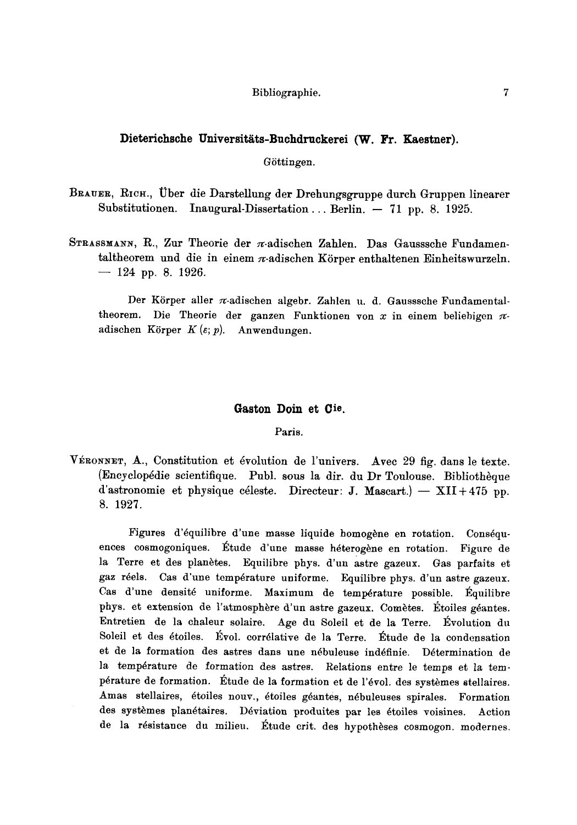# Dieterichsche Universitäts-Buchdruckerei (W. Fr. Kaestner).

Göttingen.

BRAUER, RICH., Über die Darstellung der Drehungsgruppe durch Gruppen linearer Substitutionen. Inaugural-Dissertation... Berlin.  $-71$  pp. 8. 1925.

STRASSMANN, R., Zur Theorie der  $\pi$ -adischen Zahlen. Das Gausssche Fundamentaltheorem und die in einem  $\pi$ -adischen Körper enthaltenen Einheitswurzeln.  $-$  124 pp. 8. 1926.

Der Körper aller  $\pi$ -adischen algebr. Zahlen u. d. Gausssche Fundamentaltheorem. Die Theorie der ganzen Funktionen von x in einem beliebigen  $\pi$ adischen Körper  $K(\varepsilon; p)$ . Anwendungen.

#### Gaston Doin et Cie.

Paris.

VÉRONNET, A., Constitution et évolution de l'univers. Avec 29 fig. dans le texte. (Encyclopédie scientifique. Publ. sous la dir. du Dr Toulouse. Bibliothèque d'astronomie et physique céleste. Directeur: J. Mascart.) --  $XII + 475$  pp. 8. 1927.

Figures d'équilibre d'une masse liquide homogène en rotation. Conséquences cosmogoniques. Étude d'une masse héterogène en rotation. Figure de la Terre et des planètes. Equilibre phys. d'un astre gazeux. Gas parfaits et gaz réels. Cas d'une température uniforme. Equilibre phys. d'un astre gazeux. Cas d'une densité uniforme. Maximum de température possible. Équilibre phys. et extension de l'atmosphère d'un astre gazeux. Comètes. Étoiles géantes. Entretien de la chaleur solaire. Age du Soleil et de la Terre. Évolution du Soleil et des étoiles. Évol. corrélative de la Terre. Étude de la condensation et de la formation des astres dans une nébuleuse indéfinie. Détermination de la température de formation des astres. Relations entre le temps et la température de formation. Étude de la formation et de l'évol, des systèmes stellaires. Amas stellaires, étoiles nouv., étoiles géantes, nébuleuses spirales. Formation des systèmes planétaires. Déviation produites par les étoiles voisines. Action de la résistance du milieu. Étude crit. des hypothèses cosmogon. modernes.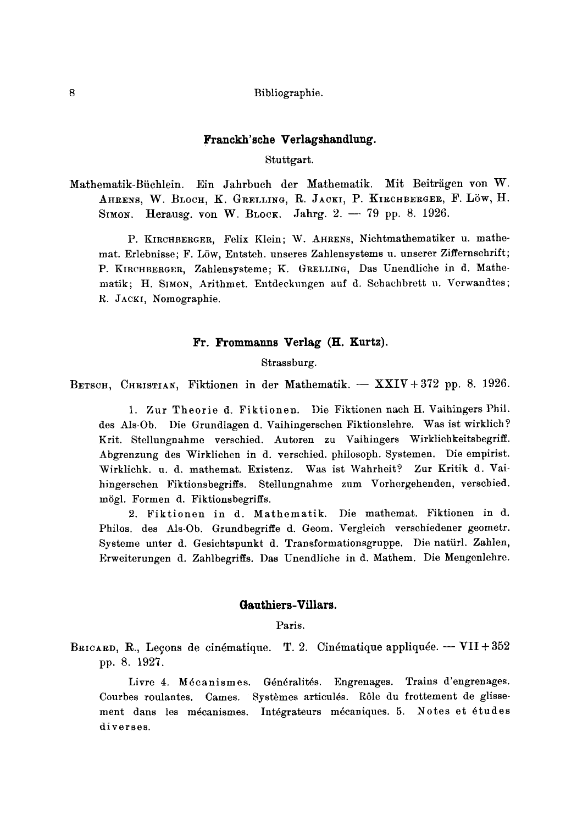#### **Franckh'sche Verlagshandlung.**

Stuttgart.

Mathematik-Büchlein. Ein Jahrbuch der Mathematik. Mit Beiträgen von W. AHRENS, W. BLOCH, K. GRELLING, R. JACKI, P. KIRCHBERGER, F. LÖW, H. SIMON. Herausg. von W. BLOCK. Jahrg.  $2. -79$  pp. 8. 1926.

P. KIRCHBERGER, Felix Klein; W. AHRENS, Nichtmathematiker u. mathemat. Erlebnisse; F. Löw, Entsteh. unseres Zahlensystems u. unserer Ziffernschrift; P. KIRCHBERGER, Zahlensysteme; K. GRELLING, Das Unendliche in d. Mathematik; H. SIMON, Arithmet. Entdeckungen auf d. Schachbrett u. Verwandtes; R. JACKr, Nomographie.

# **Fr. Frommanns Verlag (H. Kurtz).**

Strassburg.

BETSCH, CHRISTIAN, Fiktionen in der Mathematik.  $-$  XXIV + 372 pp. 8. 1926.

1. Zur Theorie d. Fiktionen. Die Fiktionen nach H. Vaihingers Phil. des Als-Ob. Die Grundlagen d. Vaihingerschen Fiktionslehre. Was ist wirklich? Krit. Stellungnahme verschied. Autoren zu Vaihingers Wirklichkeitsbegriff. Abgrenzung des Wirklichen in d. verschied, philosoph. Systemen. Die empirist. Wirklichk. u. d. mathemat. Existenz. Was ist Wahrheit? Zur Kritik d. Vaihingerschen Fiktionsbegriffs. Stellungnahme zum Vorhergehenden, verschied. mögl. Formen d. Fiktionsbegriffs.

2. Fiktionen in d. Mathematik. Die mathemat. Fiktionen in d. Philos. des Als-Ob. Grundbegriffe d. Geom. Vergleich verschiedener geometr. Systeme unter d. Gesichtspunkt d. Transformationsgruppe. Die natiirl. Zahlen, Erweiterungen d. Zahlbegriffs. Das Unendliche in d. Mathem. Die Mengenlehre.

# **Gauthiers-Villars.**

Paris.

BRICARD, R., Leçons de cinématique. T. 2. Cinématique appliquée.  $-VII+352$ pp. 8. 1927.

Livre 4. Mécanismes. Généralités. Engrenages. Trains d'engrenages. Courbes roulantes. Cames. Systèmes articulés. Rôle du frottement de glissement dans les mécanismes. Intégrateurs mécaniques. 5. Notes et études diverses.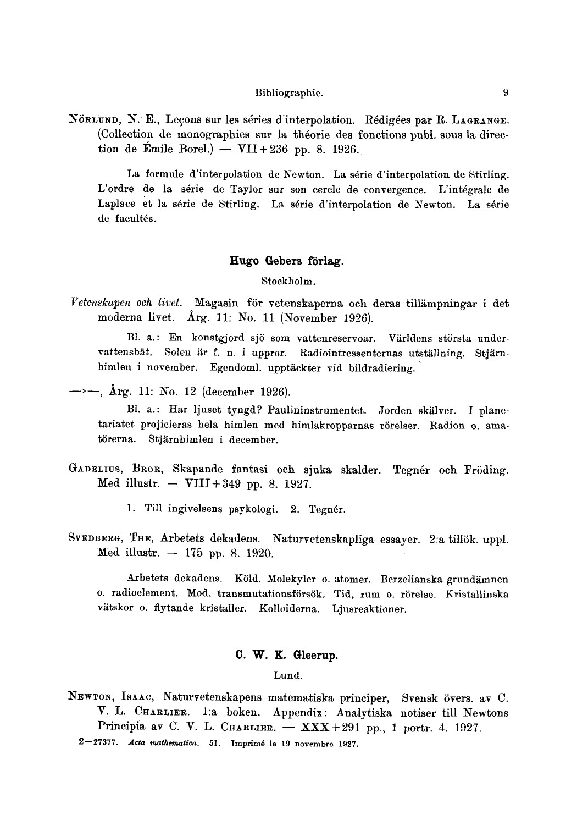NÖRLUND, N. E., Lecons sur les séries d'interpolation. Rédigées par R. LAGRANGE. (Collection de monographies sur la théorie des fonctions publ. sous la direction de Émile Borel.) -- VII+236 pp. 8. 1926.

La formule d'interpolation de Newton. La série d'interpolation de Stirling. L'ordre de la série de Taylor sur son cercle de convergence. L'intégrale de Laplace et la série de Stirling. La série d'interpolation de Newton. La série de facult6s.

## Hugo Gebers förlag.

Stockholm.

Vetenskapen och livet. Magasin för vetenskaperna och deras tillämpningar i det moderna livet. Arg. 11: No. 11 (November 1926).

Bl. a.: En konstgjord sjö som vattenreservoar. Världens största undervattensbåt. Solen är f. n. i uppror. Radiointressenternas utställning. Stjärnhimlen i november. Egendoml. upptäckter vid bildradiering.

 $\rightarrow$   $-$ , Årg. 11: No. 12 (december 1926).

Bl. a.: Har ljuset tyngd? Paulininstrumentet. Jorden skälver. I planetariatet projicieras hela himlen med himlakropparnas rörelser. Radion 0. amatörerna. Stjärnhimlen i december.

- GANELIUS, Bror, Skapande fantasi och sjuka skalder. Tegnér och Fröding. Med illustr.  $-$  VIII + 349 pp. 8. 1927.
	- 1. Till ingivelsens psykologi. 2. Tegnér.
- SVEDBERG, THE, Arbetets dekadens. Naturvetenskapliga essayer. 2:a tillök. uppl. Med illustr.  $-175$  pp. 8. 1920.

Arbetets dekadens. Köld. Molekyler o. atomer. Berzelianska grundämnen o. radioelement. Mod. transmutationsförsök. Tid, rum o. rörelse. Kristallinska vätskor o. flytande kristaller. Kolloiderna. Ljusreaktioner.

## **C. W. K. Gleerup.**

Lund.

NEWTON, ISAAC, Naturvetenskapens matematiska principer, Svensk övers. av C. V. L. CHARLIER. 1:a boken. Appendix: Analytiska notiser till Newtons Principia av C. V. L. CHARLIER.  $-$  XXX+291 pp., 1 portr. 4. 1927.

2--27377. *.4cta rnathematica.* 51. Irnprim6 le 19 novembrc 1927.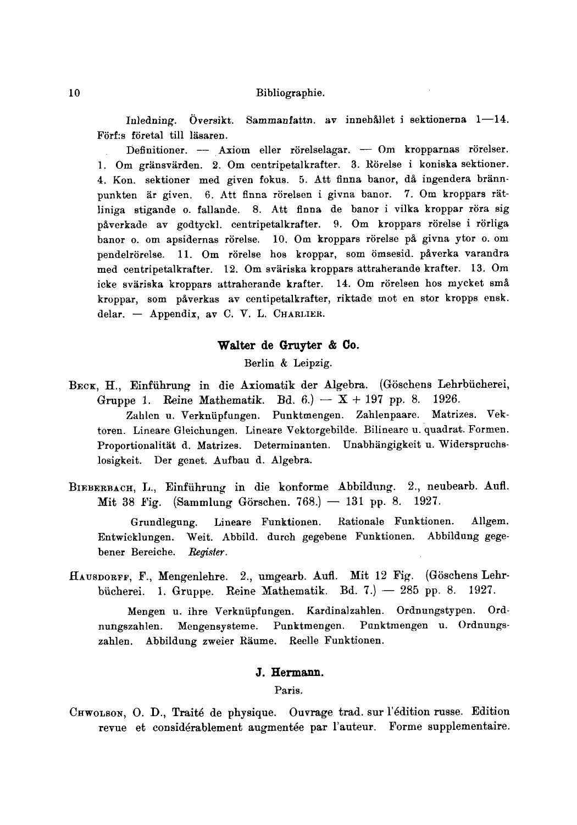Inledning. Översikt. Sammanfattn. av innehållet i sektionerna  $1-14$ . Förf:s företal till läsaren.

Definitioner. -- Axiom eller rörelselagar. -- Om kropparnas rörelser. 1. Om gränsvärden. 2. Om centripetalkrafter. 3. Rörelse i koniska sektioner. 4. Kon. sektioner med given fokus. 5. Att finna banor, då ingendera brännpunkten är given. 6. Att finna rörelsen i givna banor. 7. Om kroppars rätliniga stigande o. fallande. 8. Att finna de banor i vilka kroppar röra sig påverkade av godtyckl, centripetalkrafter. 9. Om kroppars rörelse i rörliga banor o. om apsidernas rörelse. 10. Om kroppars rörelse på givna ytor o. om pendelrörelse. 11. Om rörelse hos kroppar, som ömsesid. påverka varandra med centripetalkrafter. 12. Om sväriska kroppars attraherande krafter. 13. Om icke sväriska kroppars attraherande krafter. 14. Om rörelsen hos mycket små kroppar, som påverkas av centipetalkrafter, riktade mot en stor kropps ensk. delar. - Appendix, av C. V. L. CHARLIER.

# Walter de Gruyter & Co.

Berlin & Leipzig.

- BECK, H., Einführung in die Axiomatik der Algebra. (Göschens Lehrbücherei, Gruppe 1. Reine Mathematik. Bd.  $6.$ ) -- X + 197 pp. 8. 1926. Zahlen u. Verkniipfungen. Punktmengen. Zahlenpaare. Matrizes. Vektoren. Lineare Gleichungen. Lineare Vektorgebilde. Bilineare u. quadrat. Formen. Proportionalität d. Matrizes. Determinanten. Unabhängigkeit u. Widerspruchslosigkeit. Der genet. Aufbau d. Algebra.
- BIEBERBACH, L., Einführung in die konforme Abbildung. 2., neubearb. Aufl. Mit 38 Fig. (Sammlung Görschen. 768.)  $- 131$  pp. 8. 1927.

Grundlegung. Lineare Funktionen. Rationale Funktionen. Allgem. Entwicklungen. Weit. Abbild. durch gegebene Funktionen. Abbildung gegebener Bereiehe. *Register.* 

HAUBDORFF, F., Mengenlehre. 2, umgearb. Aufl. Mit 12 Fig. (G5schens Lehrbücherei. 1. Gruppe. Reine Mathematik. Bd. 7.)  $-$  285 pp. 8. 1927.

Mengen u. ihre Verkniipfungen. Kardinalzahlen. Ordnungstypen. Ordnungszahlen. Mengensysteme. Punktmengen. Punktmengen u. Ordnungszahlen. Abbildung zweier Räume. Reelle Funktionen.

# **J. Hermann.**

Paris.

CHWOLSON, O. D., Traité de physique. Ouvrage trad. sur l'édition russe. Edition revue et considérablement augmentée par l'auteur. Forme supplementaire.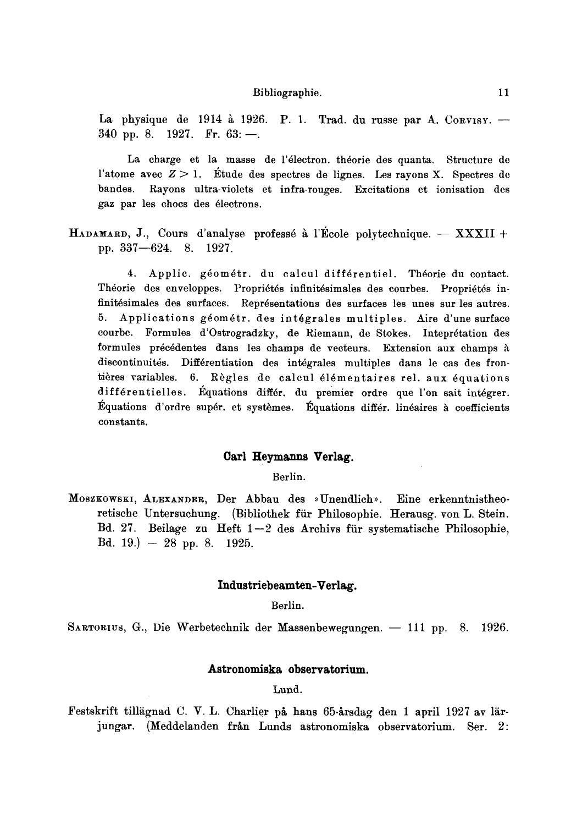La physique de 1914 à 1926. P. 1. Trad. du russe par A. Corvisy.  $-$ 340 pp. 8. 1927. Fr.  $63:$ -

La charge et la masse de l'électron, théorie des quanta. Structure de l'atome avec  $Z > 1$ . Étude des spectres de lignes. Les rayons X. Spectres de bandes. Rayons ultra-violets et infra-rouges. Excitations et ionisation des gaz par les chocs des électrons.

HADAMARD, J., Cours d'analyse professé à l'École polytechnique.  $-$  XXXII + pp. 337--624. 8. 1927.

4. Applic. géométr. du calcul différentiel. Théorie du contact. Théorie des enveloppes. Propriétés infinitésimales des courbes. Propriétés infinitésimales des surfaces. Représentations des surfaces les unes sur les autres. 5. Applications géométr, des intégrales multiples. Aire d'une surface courbe. Formules d'Ostrogradzky, de Riemann, de Stokes. Inteprétation des formules précédentes dans les champs de vecteurs. Extension aux champs à discontinuités. Différentiation des intégrales multiples dans le cas des frontières variables. 6. Règles de calcul élémentaires rel. aux équations différentielles. Équations différ, du premier ordre que l'on sait intégrer. Équations d'ordre supér, et systèmes. Équations différ, linéaires à coefficients constants.

# Carl Heymanns Verlag.

Berlin.

MOSZKOWSKI, ALEXANDER, Der Abbau des »Unendlich». Eine erkenntnistheoretisehe Untersuchung. (Bibliothek fiir Philosophic. Herausg. yon L. Stein. Bd. 27. Beilage zu Heft  $1-2$  des Archivs für systematische Philosophie, Bd. 19.)  $-28$  pp. 8. 1925.

#### **Industriebeamten-Verlag.**

Berlin.

SARTORIUS, G., Die Werbetechnik der Massenbewegungen. -- 111 pp. 8. 1926.

## **Astronomiska observatorium.**

Lund.

Festskrift tillägnad C. V. L. Charlier på hans 65-årsdag den 1 april 1927 av lärjungar. (Meddelanden från Lunds astronomiska observatorium. Ser. 2: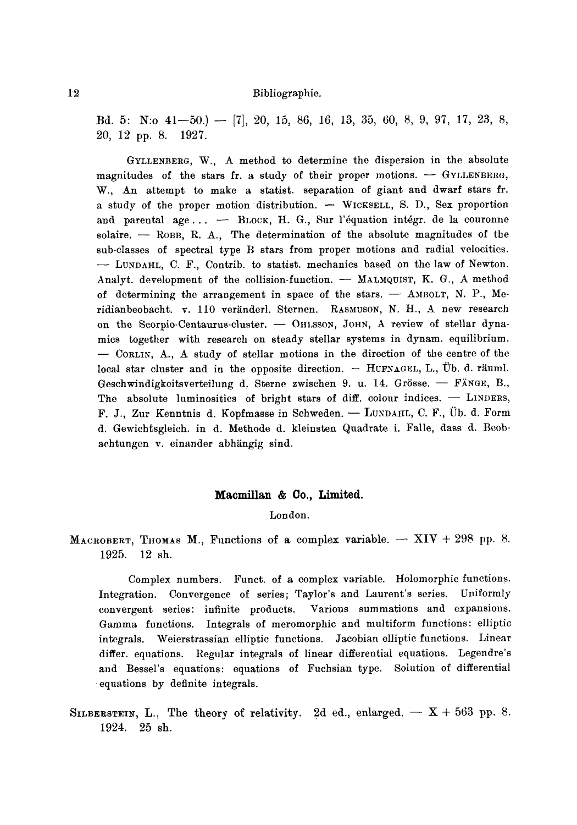Bd. 5: N:o  $41-50$ .)  $-$  [7], 20, 15, 86, 16, 13, 35, 60, 8, 9, 97, 17, 23, 8, 20, 12 pp. 8. 1927.

GYLLENBERG, W., A method to determine the dispersion in the absolute magnitudes of the stars fr. a study of their proper motions.  $-$  GYLLENBERG, W., An attempt to make a statist, separation of giant and dwarf stars fr. a study of the proper motion distribution.  $-$  WICKSELL, S. D., Sex proportion and parental age...  $-$  BLOCK, H. G., Sur l'équation intégr. de la couronne solaire.  $-$  ROBB, R. A., The determination of the absolute magnitudes of the sub-classes of spectral type B stars from proper motions and radial velocities. -- LUNDAHL, C. F., Contrib. to statist. mechanics based on the law of Newton. Analyt. development of the collision-function.  $-$  MALMQUIST, K. G., A method of determining the arrangement in space of the stars.  $-$  AMBOLT, N. P., Meridianbeobacht. v. 110 veränderl. Sternen. RASMUSON, N. H., A new research on the Scorpio-Centaurus-cluster. - OHLSSON, JOHN, A review of stellar dynamics together with research on steady stellar systems in dynam, equilibrium. -- CORLIN, A., A study of stellar motions in the direction of the centre of the local star cluster and in the opposite direction.  $-$  HUFNAGEL, L., Ub. d. räuml. Geschwindigkeitsverteilung d. Sterne zwischen 9. u. 14. Grösse.  $-$  FÄNGE, B., The absolute luminosities of bright stars of diff. colour indices.  $-$  LINDERS, F. J., Zur Kenntnis d. Kopfmasse in Schweden. - LUNDAHL, C. F., Üb. d. Form d. Gewichtsgleich. in d. Methode d. kleinsten Quadrate i. Falle, dass d. Bcobachtungen v. einander abhängig sind.

#### **Macmillan & Co., Limited.**

London.

MACROBERT, THOMAS M., Functions of a complex variable.  $-$  XIV + 298 pp. 8. 1925. 12 sh.

Complex numbers. Funct. of a complex variable. Holomorphic functions. Integration. Convergence of series; Taylor's and Laurent's series. Uniformly convergent series: infinite products. Various summations and expansions. Gamma functions. Integrals of meromorphic and multiform functions: elliptic integrals. Weierstrassian elliptic functions. Jacobian elliptic functions. Linear differ, equations. Regular integrals of linear differential equations. Legendre's and Bessel's equations: equations of Fuchsian type. Solution of differential equations by definite integrals.

SILBERSTEIN, L., The theory of relativity. 2d ed., enlarged.  $-$  X + 563 pp. 8. 1924. 25 sh.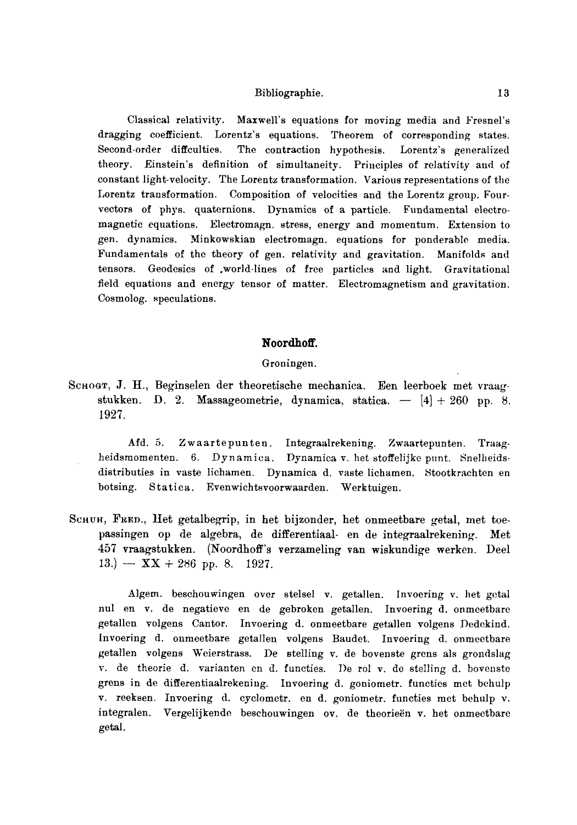Classical relativity. Maxwell's equations for moving media and Fresnel's dragging coefficient. Lorentz's equations. Theorem of corresponding states. Second-order diffcultics. The contraction hypothesis. Lorentz's generalized theory. Einstein's definition of simultaneity. Principles of relativity and of constant light-velocity. The Lorentz transformation. Various representations of the Lorentz transformation. Composition of velocities and the Lorentz group. Fourvectors of phys. quaternions. Dynamics of a particle. Fundamental electromagnetic equations. Electromagn. stress, energy and momentum. Extension to gen. dynamics. Minkowskian electromagn, equations for ponderable media. Fundamentals of the theory of gen. relativity and gravitation. Manifolds and tensors. Geodesics of ,world-lines of free particles and light. Gravitational field equations and energy tensor of matter. Electromagnetism and gravitation. Cosmolog. speculations.

# **Noordhoff.**

Groningen.

SCHOGT, J. H., Beginselen der theoretische mechanica. Een leerboek met vraagstukken. D. 2. Massageometrie, dynamica, statica.  $-$  [4] + 260 pp. 8. 1927.

Afd. 5. Zwaartepunten. Integraalrekening. Zwaartepunten. Traagheidsmomenten. 6. Dynamica. Dynamica v. bet stoffelijke punt. Snelheidsdistributies in vaste lichamen. Dynamica d. vaste lichamen. Stootkrachten en botsing. Statica. Evenwichtsvoorwaarden. Werktuigen.

SCHUH, FRED., Het getalbegrip, in het bijzonder, het onmeetbare getal, met toepassingen op de algebra, de differentiaal- en de integraalrekening. Met 457 vraagstukken. (Noordhoff's verzameling van wiskundige werken. Deel 13.) --  $XX + 286$  pp. 8. 1927.

Algem. beschouwingen over stelsel v. getallen. Invoering v. her gctal nul en v. de negatieve en de gebroken getallen. Invoering d. onmcetbare getallen volgens Cantor. Invoering d. onmeetbare getallen volgens Dedekind. Invoering d. onmeetbare getallen volgens Baudet. Invoering d. onmeetbare getallen volgens Weierstrass. De stelling v. de bovenste grens als grondslag v. de theorie d. varianten en d. functies. De rol v. de stelling d. bovenste grens in de differentiaalrekening. Invoering d. goniometr, functies met bchulp v. reeksen. Invoering d. cyclometr, end. goniometr, functies met behulp v. integralen. Vergelijkende beschouwingen ov. de theorieën v. het onmeetbare getal.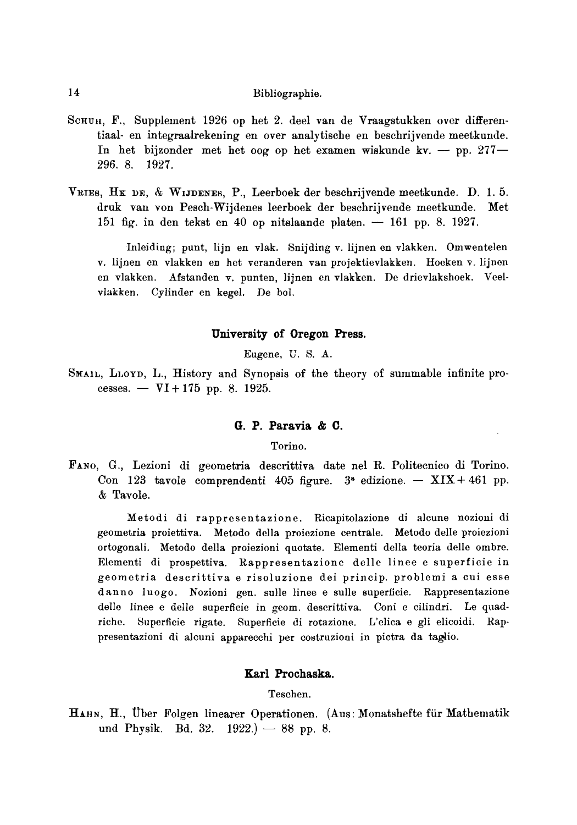- SCHUH, F., Supplement 1926 op het 2. deel van de Vraagstukken over differentiaal- en integraalrekening en over analytische en beschrijvende meetkunde. In het bijzonder met het oog op het examen wiskunde kv. -- pp.  $277-$ *296.* 8. 1927.
- VRIES,  $H_K$  DE,  $\&$  WIJDENES, P., Leerboek der beschrijvende meetkunde. D. 1.5. druk van yon Pesch-Wijdenes leerboek der beschrijvende meetkunde. Met 151 fig. in den tekst en 40 op nitslaande platen.  $-161$  pp. 8. 1927.

Inleiding; punt, lijn en vlak. Snijding v. lijnen en vlakken. Omwentelen v. lijnen en vlakken en het veranderen van projektievlakken. Hoeken v. lijnen en vlakken. Afstanden v. punten, lijnen en vlakken. De drievlakshoek. Veelvlakken. Cylinder en kegel. De bol.

## **University of Oregon Press.**

Eugene, U. S. A.

SMAIL, LLOYD, L., History and Synopsis of the theory of summable infinite processes. -  $VI + 175$  pp. 8. 1925.

# **G. P. Paravia & C.**

Torino.

FANO, G., Lezioni di geometria descrittiva date nel R. Politecnico di Torino. Con 123 tavole comprendenti 405 figure.  $3^*$  edizione. -- XIX + 461 pp. & Tavole.

Metodi di rappresentazione. Ricapitolazione di alcune nozioni di geometria proiettiva. Metodo della proiezione centrale. Metodo delle proiezioni ortogonali. Metodo della proiezioni quotate. Elementi della teoria delle ombre. Elementi di prospettiva. Rappresentazione delle linee e superficie in geometria descrittiva e risoluzione dei prineip, problemi a cui esse danno luogo. Nozioni gen. sulle linee e sulle superficie. Rappresentazione delle linee e delle superficie in geom. descrittiva. Coni e cilindri. Le quadriche. Superficie rigate. Superficie di rotazione. L'elica e gli elicoidi. Rappresentazioni di alcuni apparecchi per costruzioni in pictra da taglio.

# Karl **Prochaska.**

Tesehen.

HAHN, H., Uber Folgen linearer Operationen. (Aus: Monatshefte für Mathematik und Physik. Bd. 32.  $1922.$   $- 88$  pp. 8.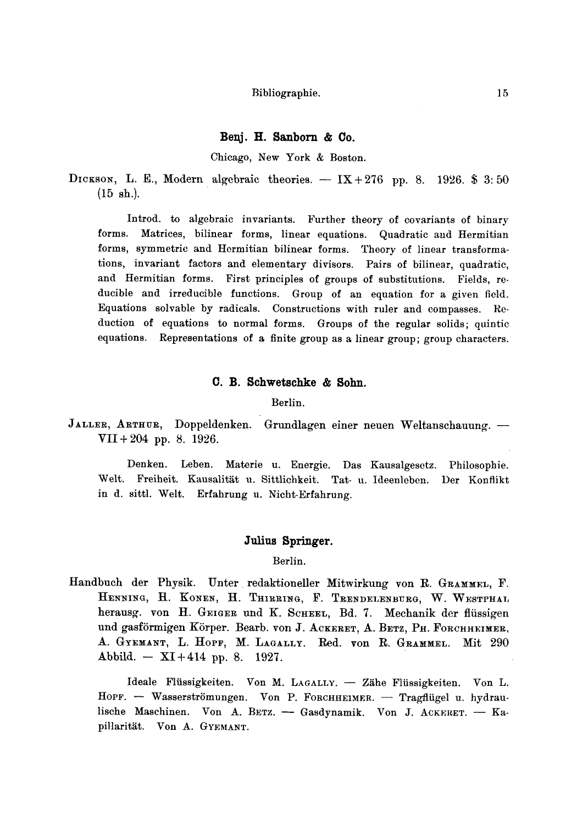## **Benj. H. Sanborn & Co.**

Chicago, New York & Boston.

DICKSON, L. E., Modern algebraic theories.  $- IX + 276$  pp. 8. 1926. \$ 3:50  $(15 \text{ sh.}).$ 

Introd. to algebraic invariants. Further theory of covariants of binary forms. Matrices, bilinear forms, linear equations. Quadratic and Hermitian forms, symmetric and Hermitian bilinear forms. Theory of linear transformations, invariant factors and elementary divisors. Pairs of bilinear, quadratic, and Hermitian forms. First principles of groups of substitutions. Fields, reducible and irreducible functions. Group of an equation for a given field. Equations solvable by radicals. Constructions with ruler and compasses. Reduction of equations to normal forms. Groups of the regular solids; quintic equations. Representations of a finite group as a linear group; group characters.

## **C. B. Schwetschke & Sohn.**

Berlin.

JALLER, ARTHUR, Doppeldenken. Grundlagen einer neuen Weltanschauung. -VII + 204 pp. 8. 1926.

Denken. Leben. Materie u. Energie. Das Kausalgesetz. Philosophie. Welt. Freiheit. Kausalität u. Sittlichkeit. Tat- u. Ideenleben. Der Konflikt in d. sittl. Welt. Erfahrung u. Nicht-Erfahrung.

# Julius **Springer.**

Berlin.

Handbuch der Physik. Unter redaktioneller Mitwirkung von R. GRAMMEL, F. HENNING, H. KONEN, H. THIRRING, F. TRENDELENBURG, W. WESTPHAL herausg. von H. GEIGER und K. SCHEEL, Bd. 7. Mechanik der flüssigen und gasförmigen Körper. Bearb. von J. ACKERET, A. BETZ, PH. FORCHHEIMER, A. GYEMANT, L. HOPF, M. LAGALLY. Red. von R. GRAMMEL. Mit 290  $Abbild. -XI + 414 pp. 8. 1927.$ 

Ideale Flüssigkeiten. Von M. LAGALLY. - Zähe Flüssigkeiten. Von L. HOPF. -- Wasserströmungen. Von P. FORCHHEIMER. -- Tragflügel u. hydraulische Maschinen. Von A. BETZ. - Gasdynamik. Von J. ACKERET. -- Kapillarität. Von A. GYEMANT.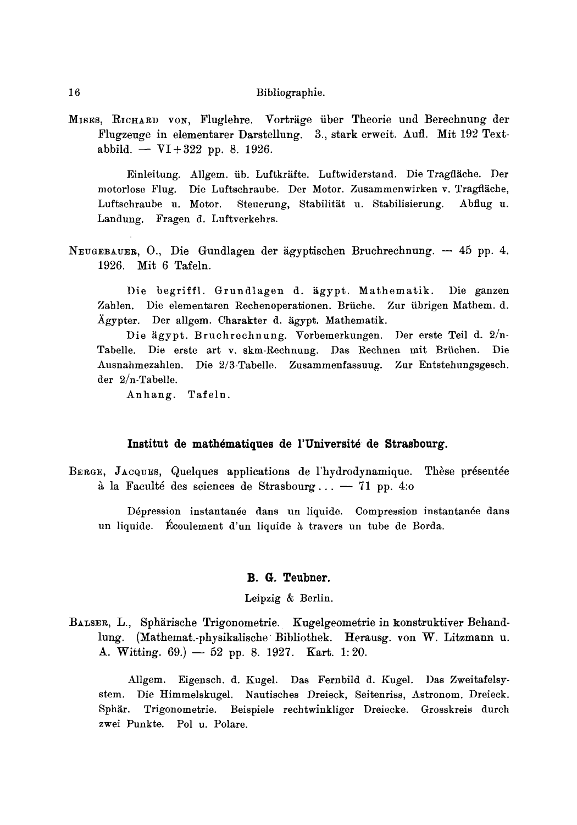MISES, RICHARD VON, Fluglehre. Vorträge über Theorie und Berechnung der Flugzeuge in elementarer Darstellung. 3., stark erweit. Aufl. Mit 192 Textabbild. -  $VI + 322$  pp. 8. 1926.

Einleitung. Allgem. üb. Luftkräfte. Luftwiderstand. Die Tragfläche. Der motorlose Flug. Die Luftschraube. Der Motor. Zusammenwirken v. Tragfläche, Steuerung, Stabilität u. Stabilisierung. Luftschraube u. Motor. Abflug u. Landung. Fragen d. Luftverkehrs.

NEUGEBAUER, O., Die Gundlagen der ägyptischen Bruchrechnung. - 45 pp. 4. 1926. Mit 6 Tafeln.

Die begriffl. Grundlagen d. ägypt. Mathematik. Die ganzen Zahlen. Die elementaren Rechenoperationen. Brüche. Zur übrigen Mathem. d. Ägypter. Der allgem. Charakter d. ägypt. Mathematik.

Die ägypt. Bruchrechnung. Vorbemerkungen. Der erste Teil d. 2/n-Tabelle. Die erste art v. skm-Rechnung. Das Rechnen mit Brüchen. Die Ausnahmezahlen. Die 2/3-Tabelle. Zusammenfassuug. Zur Entstehungsgesch. der  $2/n$ -Tabelle.

Anhang. Tafeln.

#### Institut de mathématiques de l'Université de Strasbourg.

BERGE, JACQUES, Quelques applications de l'hydrodynamique. Thèse présentée à la Faculté des sciences de Strasbourg...  $-71$  pp. 4.0

Dépression instantanée dans un liquide. Compression instantanée dans un liquide. Écoulement d'un liquide à travers un tube de Borda.

# B. G. Teubner.

#### Leipzig & Berlin.

BALSER, L., Sphärische Trigonometrie. Kugelgeometrie in konstruktiver Behandlung. (Mathemat.-physikalische Bibliothek. Herausg. von W. Litzmann u. A. Witting. 69.) - 52 pp. 8. 1927. Kart. 1:20.

Allgem. Eigensch. d. Kugel. Das Fernbild d. Kugel. Das Zweitafelsystem. Die Himmelskugel. Nautisches Dreieck, Seitenriss, Astronom. Dreieck. Trigonometrie. Beispiele rechtwinkliger Dreiecke. Grosskreis durch Sphär. zwei Punkte. Pol u. Polare.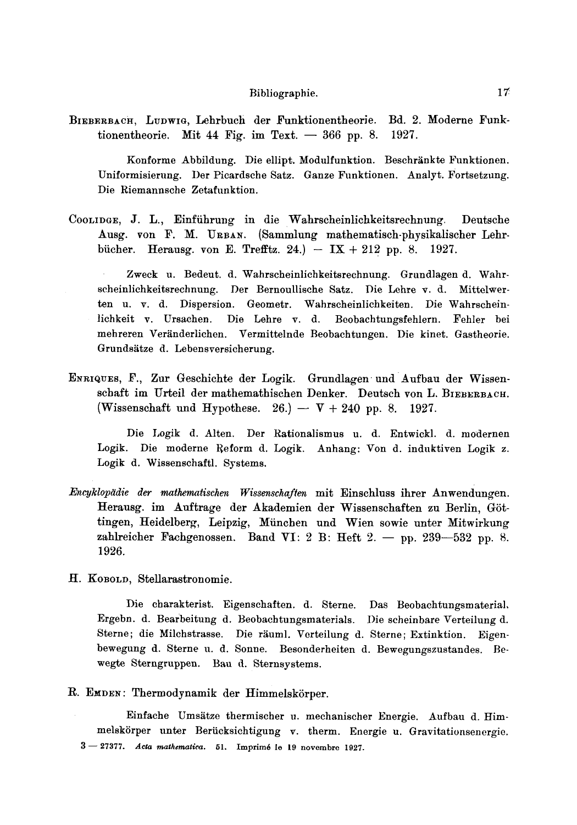BIEBERBACH, LUDWIG, Lehrbuch der Funktionentheorie. Bd. 2. Moderne Funktionentheorie. Mit 44 Fig. im Text.  $-366$  pp. 8. 1927.

Konforme Abbildung. Die ellipt. Modulfunktion. Beschränkte Funktionen. Uniformisierung. Der Picardsche Satz. Ganze Funktionen. Analyt. Fortsetzung. Die Riemannsche Zetafunktion.

COOLIDGE, J. L., Einfiihrung in die Wahrscheinlichkeitsrechnung. Deutsche Ausg. yon F. M. URBAN. (Sammlung mathematisch-physikalischer Lehrbücher. Herausg. von E. Trefftz. 24.) -- IX + 212 pp. 8. 1927.

Zweck u. Bedeut. d. Wahrscheinlichkeitsrechnung. Grundlagen d. Wahrscheinlichkeitsrechnung. Der Bernoullische Satz. Die Lehre v. d. Mittelwerten u. v. d. Dispersion. Geometr. Wahrscheinlichkeiten. Die Wahrscheinlichkeit v. Ursachen. Die Lehre v. d. Beobachtungsfehlern. Fehler bei mehreren Veränderlichen. Vermittelnde Beobachtungen. Die kinet. Gastheorie. Grundsätze d. Lebensversicherung.

ENRIQUES, F., Zur Geschichte der Logik. Grundlagen und Aufbau der Wissenschaft im Urteil der mathemathischen Denker. Deutsch von L. BIEBERBACH. (Wissenschaft und Hypothese. 26.)  $-$  V + 240 pp. 8. 1927.

Die Logik d. Alten. Der Rationalismus u. d. Entwickl. d. modernen Logik. Die moderne Reform d. Logik. Anhang: Von d. induktiven Logik z. Logik d. Wissenschaftl. Systems.

*Encyklop~idie tier mathematischen Wissenschaflen* mit Einschluss ihrer Anwendungen. Herausg. im Auftrage der Akademien der Wissenschaften zu Berlin, Göttingen, Heidelberg, Leipzig, Miinchen und Wien sowie unter Mitwirkung zahlreicher Fachgenossen. Band VI: 2 B: Heft 2. -- pp. 239-532 pp. 8. 1926.

H. KOBOLD, Stellarastronomie.

Die eharakterist. Eigenschaften. d. Sterne. Das Beobachtungsmaterial, Ergebn. d. Bearbeitung d. Beobacbtungsmaterials. Die scheinbare Verteilung d. Sterne; die Milchstrasse. Die räuml. Verteilung d. Sterne; Extinktion. Eigenbewegung d. Sterne u. d. Sonne. Besonderheiten d. Bewegungszustandes. Bewegte Sterngruppen. Bau d. Sternsystems.

R. EMDEN: Thermodynamik der Himmelskörper.

Einfache Umsätze thermischer u. mechanischer Energie. Aufbau d. Himmelskörper unter Berücksichtigung v. therm. Energie u. Gravitationsenergie. 3- 27377. *Acta mathematics.* 51. Imprim6 le 19 novembre 1927.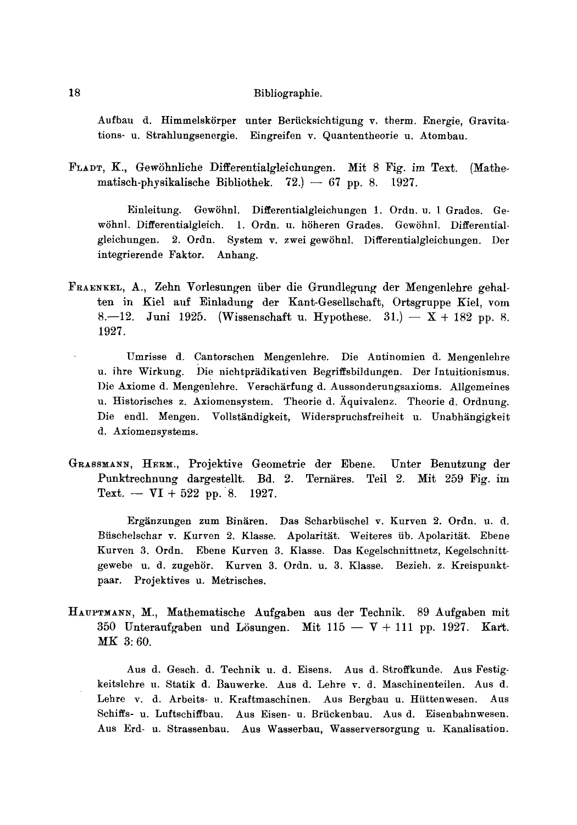Aufbau d. Himmelskörper unter Berücksichtigung v. therm. Energie, Gravitations- u. Strahlungsenergie. Eingreifen v. Quantentheorie u. Atombau.

FLAD% K., GewShnliche Differentialgleichungen. Mit 8 Fig. im Text. (Mathematisch-physikalische Bibliothek.  $72.$  -67 pp. 8. 1927.

Einleitung. Gewöhnl. Differentialgleichungen 1. Ordn. u. 1 Grades. Gewöhnl. Differentialgleich. 1. Ordn. u. höheren Grades. Gewöhnl. Differentialgleichungen. 2. Ordn. System v. zwei gewShnl. Differentialgleichungen. Der integrierende Faktor. Anhang.

- FRAENKEL, A., Zehn Vorlesungen über die Grundlegung der Mengenlehre gehalten in Kiel auf Einladung der Kant-Gesellschaft, Ortsgruppe Kiel, vom 8.-12. Juni 1925. (Wissenschaft u. Hypothese. 31.) --  $X + 182$  pp. 8. 1927.
	- Umrisse d. Cantorschen Mengenlehre. Die Antinomien d. Mengenlehre u. ihre Wirkung. Die nichtprädikativen Begriffsbildungen. Der Intuitionismus. Die Axiome d. Mengenlehre. Verschärfung d. Aussonderungsaxioms. Allgemeines u. Historisches z. Axiomensystem. Theorie d. Aquivalenz. Theorie d. Ordnung. Die endl. Mengen. Vollständigkeit, Widerspruchsfreiheit u. Unabhängigkeit d. Axiomensystems.
- GRASSMANN, HERM., Projektive Geometrie der Ebene. Unter Benutzung der Punktrechnung dargestellt. Bd. 2. Ternäres. Teil 2. Mit 259 Fig. im Text.  $-$  VI + 522 pp. 8. 1927.

Ergänzungen zum Binären. Das Scharbüschel v. Kurven 2. Ordn. u. d. Büschelschar v. Kurven 2. Klasse. Apolarität. Weiteres üb. Apolarität. Ebene Kurven 3. Ordn. Ebene Kurven 3. Klasse. Das Kegelschnittnetz, Kegelschnittgewebe u. d. zugehör. Kurven 3. Ordn. u. 3. Klasse. Bezieh. z. Kreispunktpaar. Projektives u. Metrisches.

HAUPTMANN, M., Mathematische Aufgaben aus der Technik. 89 Aufgaben mit 350 Unteraufgaben und Lösungen. Mit  $115 - V + 111$  pp. 1927. Kart. MK 3: 60.

Aus d. Gesch. d. Technik u. d. Eisens. Aus d. Stroffkunde. Aus Festigkeitslehre u. Statik d. Bauwerke. Aus d. Lehre v. d. Maschinenteilen. Aus d. Lehre v. d. Arbeits- u. Kraftmaschinen. Aus Bergbau u. Hiittenwesen. Aus Schiffs- u. Luftschiffbau. Aus Eisen- u. Briiekenbau. Aus d. Eisenbahnwesen. Aus Erd- u. Strassenbau. Aus Wasserbau, Wasserversorgung u. Kanalisation.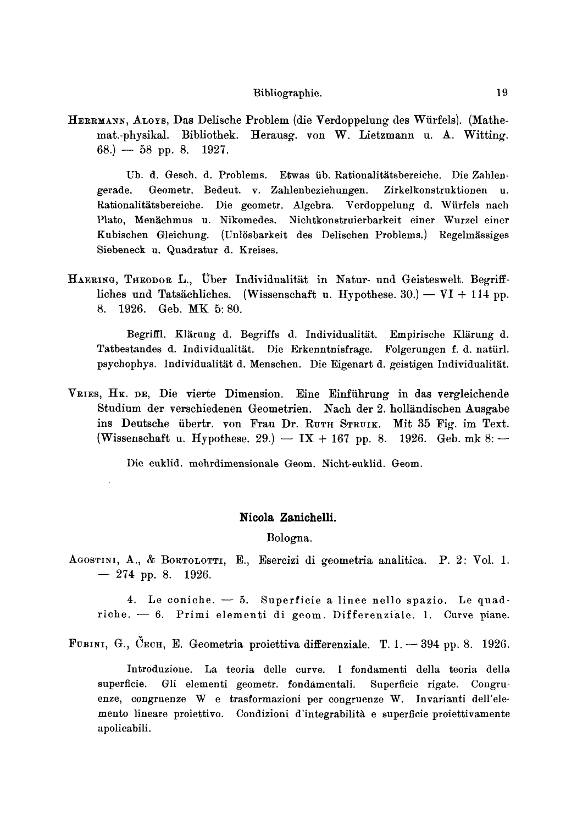HERRMANN, ALOYS, Das Delische Problem (die Verdoppelung des Würfels). (Mathemat.-physikal. Bibliothek. Herausg. von W. Lietzmann u. A. Witting.  $68.$ ) — 58 pp. 8. 1927.

Ub. d. Gesch. d. Problems. Etwas üb. Rationalitätsbereiche. Die Zahlen-Geometr. Bedeut. v. Zahlenbeziehungen. Zirkelkonstruktionen u. gerade. Rationalitätsbereiche. Die geometr. Algebra. Verdoppelung d. Würfels nach Plato, Menächmus u. Nikomedes. Nichtkonstruierbarkeit einer Wurzel einer Kubischen Gleichung. (Unlösbarkeit des Delischen Problems.) Regelmässiges Siebeneck u. Quadratur d. Kreises.

HAERING, THEODOR L., Uber Individualität in Natur- und Geisteswelt. Begriffliches und Tatsächliches. (Wissenschaft u. Hypothese. 30.) — VI + 114 pp. 8. 1926. Geb. MK 5:80.

Begriffl. Klärung d. Begriffs d. Individualität. Empirische Klärung d. Tatbestandes d. Individualität. Die Erkenntnisfrage. Folgerungen f. d. natürl. psychophys. Individualität d. Menschen. Die Eigenart d. geistigen Individualität.

VRIES, HK. DE, Die vierte Dimension. Eine Einführung in das vergleichende Studium der verschiedenen Geometrien. Nach der 2. holländischen Ausgabe ins Deutsche übertr. von Frau Dr. RUTH STRUIK. Mit 35 Fig. im Text. (Wissenschaft u. Hypothese. 29.) –  $IX + 167$  pp. 8. 1926. Geb. mk 8: –

Die euklid. mehrdimensionale Geom. Nicht-euklid. Geom.

#### Nicola Zanichelli.

Bologna.

AGOSTINI, A., & BORTOLOTTI, E., Esercizi di geometria analitica. P. 2: Vol. 1.  $-274$  pp. 8. 1926.

4. Le coniche.  $-5$ . Superficie a linee nello spazio. Le quadriche.  $-6$ . Primi elementi di geom. Differenziale. 1. Curve piane.

FUBINI, G., ČECH, E. Geometria proiettiva differenziale. T. 1. - 394 pp. 8. 1926.

Introduzione. La teoria delle curve. I fondamenti della teoria della superficie. Gli elementi geometr. fondamentali. Superficie rigate. Congruenze, congruenze W e trasformazioni per congruenze W. Invarianti dell'elemento lineare proiettivo. Condizioni d'integrabilità e superficie proiettivamente apolicabili.